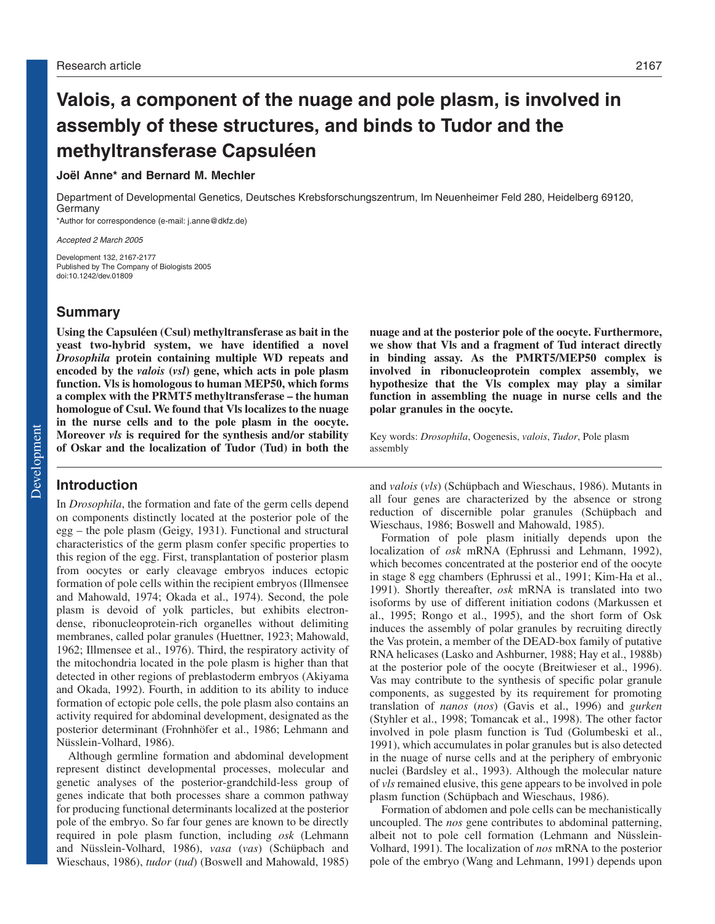# **Valois, a component of the nuage and pole plasm, is involved in assembly of these structures, and binds to Tudor and the methyltransferase Capsuléen**

# **Joël Anne\* and Bernard M. Mechler**

Department of Developmental Genetics, Deutsches Krebsforschungszentrum, Im Neuenheimer Feld 280, Heidelberg 69120, Germany

\*Author for correspondence (e-mail: j.anne@dkfz.de)

Accepted 2 March 2005

Development 132, 2167-2177 Published by The Company of Biologists 2005 doi:10.1242/dev.01809

# **Summary**

**Using the Capsuléen (Csul) methyltransferase as bait in the yeast two-hybrid system, we have identified a novel** *Drosophila* **protein containing multiple WD repeats and encoded by the** *valois* **(***vsl***) gene, which acts in pole plasm function. Vls is homologous to human MEP50, which forms a complex with the PRMT5 methyltransferase – the human homologue of Csul. We found that Vls localizes to the nuage in the nurse cells and to the pole plasm in the oocyte. Moreover** *vls* **is required for the synthesis and/or stability of Oskar and the localization of Tudor (Tud) in both the**

# **Introduction**

In *Drosophila*, the formation and fate of the germ cells depend on components distinctly located at the posterior pole of the egg – the pole plasm (Geigy, 1931). Functional and structural characteristics of the germ plasm confer specific properties to this region of the egg. First, transplantation of posterior plasm from oocytes or early cleavage embryos induces ectopic formation of pole cells within the recipient embryos (Illmensee and Mahowald, 1974; Okada et al., 1974). Second, the pole plasm is devoid of yolk particles, but exhibits electrondense, ribonucleoprotein-rich organelles without delimiting membranes, called polar granules (Huettner, 1923; Mahowald, 1962; Illmensee et al., 1976). Third, the respiratory activity of the mitochondria located in the pole plasm is higher than that detected in other regions of preblastoderm embryos (Akiyama and Okada, 1992). Fourth, in addition to its ability to induce formation of ectopic pole cells, the pole plasm also contains an activity required for abdominal development, designated as the posterior determinant (Frohnhöfer et al., 1986; Lehmann and Nüsslein-Volhard, 1986).

Although germline formation and abdominal development represent distinct developmental processes, molecular and genetic analyses of the posterior-grandchild-less group of genes indicate that both processes share a common pathway for producing functional determinants localized at the posterior pole of the embryo. So far four genes are known to be directly required in pole plasm function, including *osk* (Lehmann and Nüsslein-Volhard, 1986), *vasa* (*vas*) (Schüpbach and Wieschaus, 1986), *tudor* (*tud*) (Boswell and Mahowald, 1985)

**nuage and at the posterior pole of the oocyte. Furthermore, we show that Vls and a fragment of Tud interact directly in binding assay. As the PMRT5/MEP50 complex is involved in ribonucleoprotein complex assembly, we hypothesize that the Vls complex may play a similar function in assembling the nuage in nurse cells and the polar granules in the oocyte.**

Key words: *Drosophila*, Oogenesis, *valois*, *Tudor*, Pole plasm assembly

and *valois* (*vls*) (Schüpbach and Wieschaus, 1986). Mutants in all four genes are characterized by the absence or strong reduction of discernible polar granules (Schüpbach and Wieschaus, 1986; Boswell and Mahowald, 1985).

Formation of pole plasm initially depends upon the localization of *osk* mRNA (Ephrussi and Lehmann, 1992), which becomes concentrated at the posterior end of the oocyte in stage 8 egg chambers (Ephrussi et al., 1991; Kim-Ha et al., 1991). Shortly thereafter, *osk* mRNA is translated into two isoforms by use of different initiation codons (Markussen et al., 1995; Rongo et al., 1995), and the short form of Osk induces the assembly of polar granules by recruiting directly the Vas protein, a member of the DEAD-box family of putative RNA helicases (Lasko and Ashburner, 1988; Hay et al., 1988b) at the posterior pole of the oocyte (Breitwieser et al., 1996). Vas may contribute to the synthesis of specific polar granule components, as suggested by its requirement for promoting translation of *nanos* (*nos*) (Gavis et al., 1996) and *gurken* (Styhler et al., 1998; Tomancak et al., 1998). The other factor involved in pole plasm function is Tud (Golumbeski et al., 1991), which accumulates in polar granules but is also detected in the nuage of nurse cells and at the periphery of embryonic nuclei (Bardsley et al., 1993). Although the molecular nature of *vls* remained elusive, this gene appears to be involved in pole plasm function (Schüpbach and Wieschaus, 1986).

Formation of abdomen and pole cells can be mechanistically uncoupled. The *nos* gene contributes to abdominal patterning, albeit not to pole cell formation (Lehmann and Nüsslein-Volhard, 1991). The localization of *nos* mRNA to the posterior pole of the embryo (Wang and Lehmann, 1991) depends upon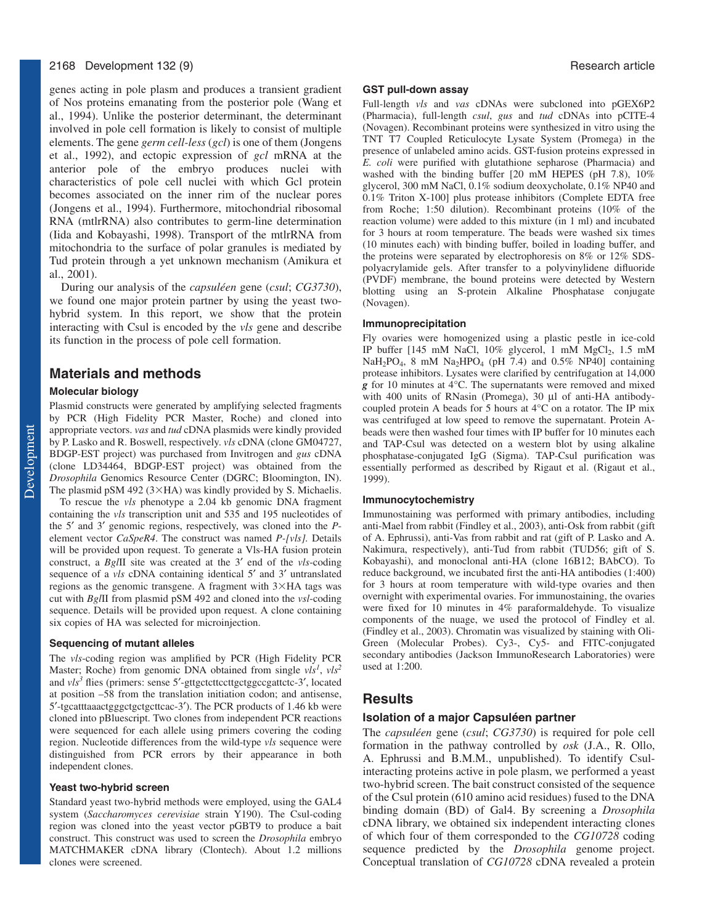genes acting in pole plasm and produces a transient gradient of Nos proteins emanating from the posterior pole (Wang et al., 1994). Unlike the posterior determinant, the determinant involved in pole cell formation is likely to consist of multiple elements. The gene *germ cell-less* (*gcl*) is one of them (Jongens et al., 1992), and ectopic expression of *gcl* mRNA at the anterior pole of the embryo produces nuclei with characteristics of pole cell nuclei with which Gcl protein becomes associated on the inner rim of the nuclear pores (Jongens et al., 1994). Furthermore, mitochondrial ribosomal RNA (mtlrRNA) also contributes to germ-line determination (Iida and Kobayashi, 1998). Transport of the mtlrRNA from mitochondria to the surface of polar granules is mediated by Tud protein through a yet unknown mechanism (Amikura et al., 2001).

During our analysis of the *capsuléen* gene (*csul*; *CG3730*), we found one major protein partner by using the yeast twohybrid system. In this report, we show that the protein interacting with Csul is encoded by the *vls* gene and describe its function in the process of pole cell formation.

# **Materials and methods**

#### **Molecular biology**

Plasmid constructs were generated by amplifying selected fragments by PCR (High Fidelity PCR Master, Roche) and cloned into appropriate vectors. *vas* and *tud* cDNA plasmids were kindly provided by P. Lasko and R. Boswell, respectively. *vls* cDNA (clone GM04727, BDGP-EST project) was purchased from Invitrogen and *gus* cDNA (clone LD34464, BDGP-EST project) was obtained from the *Drosophila* Genomics Resource Center (DGRC; Bloomington, IN). The plasmid pSM 492  $(3 \times HA)$  was kindly provided by S. Michaelis.

To rescue the *vls* phenotype a 2.04 kb genomic DNA fragment containing the *vls* transcription unit and 535 and 195 nucleotides of the 5′ and 3′ genomic regions, respectively, was cloned into the *P*element vector *CaSpeR4*. The construct was named *P-[vls].* Details will be provided upon request. To generate a Vls-HA fusion protein construct, a *Bgl*II site was created at the 3′ end of the *vls*-coding sequence of a *vls* cDNA containing identical 5′ and 3′ untranslated regions as the genomic transgene. A fragment with  $3\times HA$  tags was cut with *Bgl*II from plasmid pSM 492 and cloned into the *vsl*-coding sequence. Details will be provided upon request. A clone containing six copies of HA was selected for microinjection.

#### **Sequencing of mutant alleles**

The *vls*-coding region was amplified by PCR (High Fidelity PCR Master; Roche) from genomic DNA obtained from single *vls1* , *vls<sup>2</sup>* and *vls*<sup>3</sup> flies (primers: sense 5'-gttgctcttccttgctggccgattctc-3', located at position –58 from the translation initiation codon; and antisense, 5′-tgcatttaaactgggctgctgcttcac-3′). The PCR products of 1.46 kb were cloned into pBluescript. Two clones from independent PCR reactions were sequenced for each allele using primers covering the coding region. Nucleotide differences from the wild-type *vls* sequence were distinguished from PCR errors by their appearance in both independent clones.

#### **Yeast two-hybrid screen**

Standard yeast two-hybrid methods were employed, using the GAL4 system (*Saccharomyces cerevisiae* strain Y190). The Csul-coding region was cloned into the yeast vector pGBT9 to produce a bait construct. This construct was used to screen the *Drosophila* embryo MATCHMAKER cDNA library (Clontech). About 1.2 millions clones were screened.

#### **GST pull-down assay**

Full-length *vls* and *vas* cDNAs were subcloned into pGEX6P2 (Pharmacia), full-length *csul*, *gus* and *tud* cDNAs into pCITE-4 (Novagen). Recombinant proteins were synthesized in vitro using the TNT T7 Coupled Reticulocyte Lysate System (Promega) in the presence of unlabeled amino acids. GST-fusion proteins expressed in *E. coli* were purified with glutathione sepharose (Pharmacia) and washed with the binding buffer [20 mM HEPES (pH 7.8), 10% glycerol, 300 mM NaCl, 0.1% sodium deoxycholate, 0.1% NP40 and 0.1% Triton X-100] plus protease inhibitors (Complete EDTA free from Roche; 1:50 dilution). Recombinant proteins (10% of the reaction volume) were added to this mixture (in 1 ml) and incubated for 3 hours at room temperature. The beads were washed six times (10 minutes each) with binding buffer, boiled in loading buffer, and the proteins were separated by electrophoresis on 8% or 12% SDSpolyacrylamide gels. After transfer to a polyvinylidene difluoride (PVDF) membrane, the bound proteins were detected by Western blotting using an S-protein Alkaline Phosphatase conjugate (Novagen).

#### **Immunoprecipitation**

Fly ovaries were homogenized using a plastic pestle in ice-cold IP buffer [145 mM NaCl,  $10\%$  glycerol, 1 mM MgCl<sub>2</sub>, 1.5 mM NaH<sub>2</sub>PO<sub>4</sub>, 8 mM Na<sub>2</sub>HPO<sub>4</sub> (pH 7.4) and 0.5% NP40] containing protease inhibitors. Lysates were clarified by centrifugation at 14,000 *g* for 10 minutes at 4°C. The supernatants were removed and mixed with 400 units of RNasin (Promega), 30 µl of anti-HA antibodycoupled protein A beads for 5 hours at 4°C on a rotator. The IP mix was centrifuged at low speed to remove the supernatant. Protein Abeads were then washed four times with IP buffer for 10 minutes each and TAP-Csul was detected on a western blot by using alkaline phosphatase-conjugated IgG (Sigma). TAP-Csul purification was essentially performed as described by Rigaut et al. (Rigaut et al., 1999).

#### **Immunocytochemistry**

Immunostaining was performed with primary antibodies, including anti-Mael from rabbit (Findley et al., 2003), anti-Osk from rabbit (gift of A. Ephrussi), anti-Vas from rabbit and rat (gift of P. Lasko and A. Nakimura, respectively), anti-Tud from rabbit (TUD56; gift of S. Kobayashi), and monoclonal anti-HA (clone 16B12; BAbCO). To reduce background, we incubated first the anti-HA antibodies (1:400) for 3 hours at room temperature with wild-type ovaries and then overnight with experimental ovaries. For immunostaining, the ovaries were fixed for 10 minutes in 4% paraformaldehyde. To visualize components of the nuage, we used the protocol of Findley et al. (Findley et al., 2003). Chromatin was visualized by staining with Oli-Green (Molecular Probes). Cy3-, Cy5- and FITC-conjugated secondary antibodies (Jackson ImmunoResearch Laboratories) were used at 1:200.

# **Results**

#### **Isolation of a major Capsuléen partner**

The *capsuléen* gene (*csul*; *CG3730*) is required for pole cell formation in the pathway controlled by *osk* (J.A., R. Ollo, A. Ephrussi and B.M.M., unpublished). To identify Csulinteracting proteins active in pole plasm, we performed a yeast two-hybrid screen. The bait construct consisted of the sequence of the Csul protein (610 amino acid residues) fused to the DNA binding domain (BD) of Gal4. By screening a *Drosophila* cDNA library, we obtained six independent interacting clones of which four of them corresponded to the *CG10728* coding sequence predicted by the *Drosophila* genome project. Conceptual translation of *CG10728* cDNA revealed a protein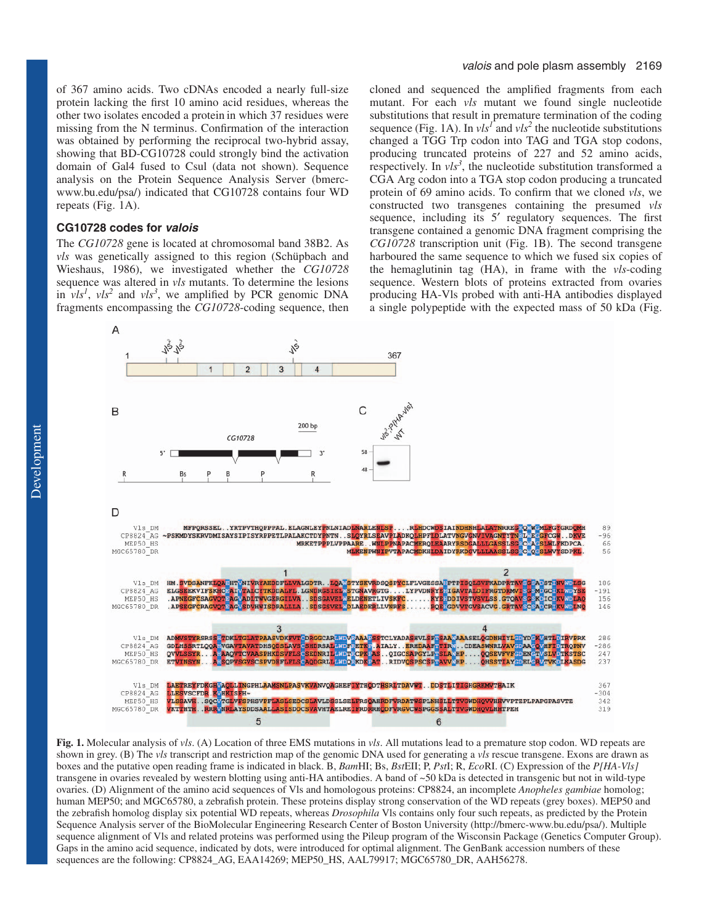of 367 amino acids. Two cDNAs encoded a nearly full-size protein lacking the first 10 amino acid residues, whereas the other two isolates encoded a protein in which 37 residues were missing from the N terminus. Confirmation of the interaction was obtained by performing the reciprocal two-hybrid assay, showing that BD-CG10728 could strongly bind the activation domain of Gal4 fused to Csul (data not shown). Sequence analysis on the Protein Sequence Analysis Server (bmercwww.bu.edu/psa/) indicated that CG10728 contains four WD repeats (Fig. 1A).

## **CG10728 codes for valois**

The *CG10728* gene is located at chromosomal band 38B2. As *vls* was genetically assigned to this region (Schüpbach and Wieshaus, 1986), we investigated whether the *CG10728* sequence was altered in *vls* mutants. To determine the lesions in  $vls<sup>1</sup>$ ,  $vls<sup>2</sup>$  and  $vls<sup>3</sup>$ , we amplified by PCR genomic DNA fragments encompassing the *CG10728*-coding sequence, then

cloned and sequenced the amplified fragments from each mutant. For each *vls* mutant we found single nucleotide substitutions that result in premature termination of the coding sequence (Fig. 1A). In  $vls^{1}$  and  $vls^{2}$  the nucleotide substitutions changed a TGG Trp codon into TAG and TGA stop codons, producing truncated proteins of 227 and 52 amino acids, respectively. In  $vls^3$ , the nucleotide substitution transformed a CGA Arg codon into a TGA stop codon producing a truncated protein of 69 amino acids. To confirm that we cloned *vls*, we constructed two transgenes containing the presumed *vls* sequence, including its 5′ regulatory sequences. The first transgene contained a genomic DNA fragment comprising the *CG10728* transcription unit (Fig. 1B). The second transgene harboured the same sequence to which we fused six copies of the hemaglutinin tag (HA), in frame with the *vls*-coding sequence. Western blots of proteins extracted from ovaries producing HA-Vls probed with anti-HA antibodies displayed a single polypeptide with the expected mass of 50 kDa (Fig.



**Fig. 1.** Molecular analysis of *vls*. (A) Location of three EMS mutations in *vls*. All mutations lead to a premature stop codon. WD repeats are shown in grey. (B) The *vls* transcript and restriction map of the genomic DNA used for generating a *vls* rescue transgene. Exons are drawn as boxes and the putative open reading frame is indicated in black. B, *Bam*HI; Bs, *Bst*EII; P, *Pst*I; R, *Eco*RI. (C) Expression of the *P[HA-Vls]* transgene in ovaries revealed by western blotting using anti-HA antibodies. A band of ~50 kDa is detected in transgenic but not in wild-type ovaries. (D) Alignment of the amino acid sequences of Vls and homologous proteins: CP8824, an incomplete *Anopheles gambiae* homolog; human MEP50; and MGC65780, a zebrafish protein. These proteins display strong conservation of the WD repeats (grey boxes). MEP50 and the zebrafish homolog display six potential WD repeats, whereas *Drosophila* Vls contains only four such repeats, as predicted by the Protein Sequence Analysis server of the BioMolecular Engineering Research Center of Boston University (http://bmerc-www.bu.edu/psa/). Multiple sequence alignment of Vls and related proteins was performed using the Pileup program of the Wisconsin Package (Genetics Computer Group). Gaps in the amino acid sequence, indicated by dots, were introduced for optimal alignment. The GenBank accession numbers of these sequences are the following: CP8824\_AG, EAA14269; MEP50\_HS, AAL79917; MGC65780\_DR, AAH56278.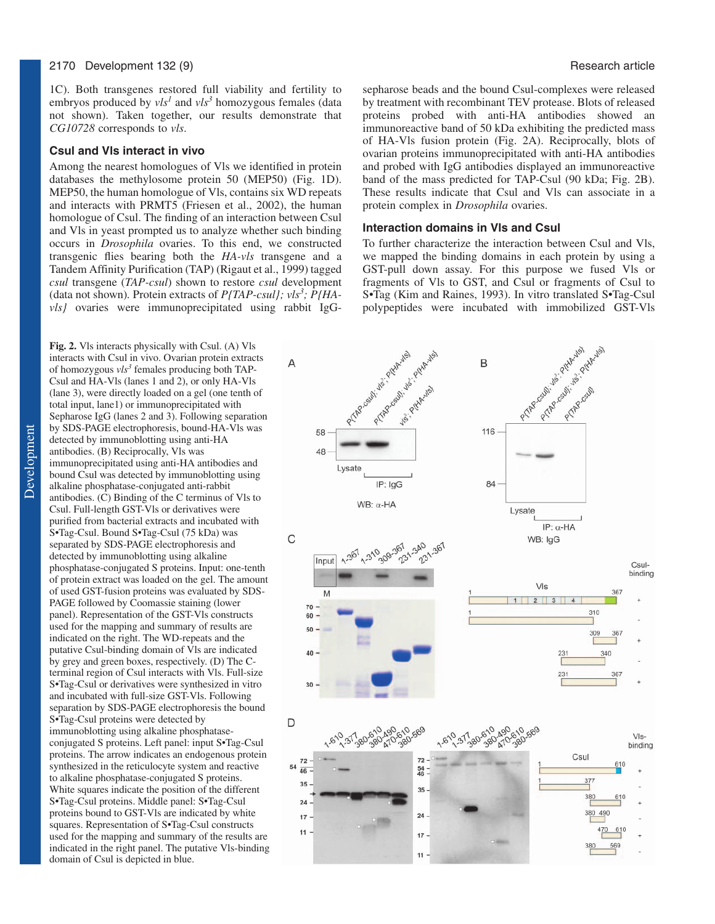1C). Both transgenes restored full viability and fertility to embryos produced by  $vls<sup>1</sup>$  and  $vls<sup>3</sup>$  homozygous females (data not shown). Taken together, our results demonstrate that *CG10728* corresponds to *vls*.

#### **Csul and Vls interact in vivo**

Among the nearest homologues of Vls we identified in protein databases the methylosome protein 50 (MEP50) (Fig. 1D). MEP50, the human homologue of Vls, contains six WD repeats and interacts with PRMT5 (Friesen et al., 2002), the human homologue of Csul. The finding of an interaction between Csul and Vls in yeast prompted us to analyze whether such binding occurs in *Drosophila* ovaries. To this end, we constructed transgenic flies bearing both the *HA-vls* transgene and a Tandem Affinity Purification (TAP) (Rigaut et al., 1999) tagged *csul* transgene (*TAP-csul*) shown to restore *csul* development (data not shown). Protein extracts of  $P{TAP}\text{-}c s u l$ ; vls<sup>3</sup>;  $P{H A}$ *vls}* ovaries were immunoprecipitated using rabbit IgG-

**Fig. 2.** Vls interacts physically with Csul. (A) Vls interacts with Csul in vivo. Ovarian protein extracts of homozygous  $v/s^3$  females producing both TAP-Csul and HA-Vls (lanes 1 and 2), or only HA-Vls (lane 3), were directly loaded on a gel (one tenth of total input, lane1) or immunoprecipitated with Sepharose IgG (lanes 2 and 3). Following separation by SDS-PAGE electrophoresis, bound-HA-Vls was detected by immunoblotting using anti-HA antibodies. (B) Reciprocally, Vls was immunoprecipitated using anti-HA antibodies and bound Csul was detected by immunoblotting using alkaline phosphatase-conjugated anti-rabbit antibodies. (C) Binding of the C terminus of Vls to Csul. Full-length GST-Vls or derivatives were purified from bacterial extracts and incubated with S•Tag-Csul. Bound S•Tag-Csul (75 kDa) was separated by SDS-PAGE electrophoresis and detected by immunoblotting using alkaline phosphatase-conjugated S proteins. Input: one-tenth of protein extract was loaded on the gel. The amount of used GST-fusion proteins was evaluated by SDS-PAGE followed by Coomassie staining (lower panel). Representation of the GST-Vls constructs used for the mapping and summary of results are indicated on the right. The WD-repeats and the putative Csul-binding domain of Vls are indicated by grey and green boxes, respectively. (D) The Cterminal region of Csul interacts with Vls. Full-size S•Tag-Csul or derivatives were synthesized in vitro and incubated with full-size GST-Vls. Following separation by SDS-PAGE electrophoresis the bound S•Tag-Csul proteins were detected by immunoblotting using alkaline phosphataseconjugated S proteins. Left panel: input S•Tag-Csul proteins. The arrow indicates an endogenous protein synthesized in the reticulocyte system and reactive to alkaline phosphatase-conjugated S proteins. White squares indicate the position of the different S•Tag-Csul proteins. Middle panel: S•Tag-Csul proteins bound to GST-Vls are indicated by white squares. Representation of S•Tag-Csul constructs used for the mapping and summary of the results are indicated in the right panel. The putative Vls-binding domain of Csul is depicted in blue.

sepharose beads and the bound Csul-complexes were released by treatment with recombinant TEV protease. Blots of released proteins probed with anti-HA antibodies showed an immunoreactive band of 50 kDa exhibiting the predicted mass of HA-Vls fusion protein (Fig. 2A). Reciprocally, blots of ovarian proteins immunoprecipitated with anti-HA antibodies and probed with IgG antibodies displayed an immunoreactive band of the mass predicted for TAP-Csul (90 kDa; Fig. 2B). These results indicate that Csul and Vls can associate in a protein complex in *Drosophila* ovaries.

#### **Interaction domains in Vls and Csul**

To further characterize the interaction between Csul and Vls, we mapped the binding domains in each protein by using a GST-pull down assay. For this purpose we fused Vls or fragments of Vls to GST, and Csul or fragments of Csul to S•Tag (Kim and Raines, 1993). In vitro translated S•Tag-Csul polypeptides were incubated with immobilized GST-Vls

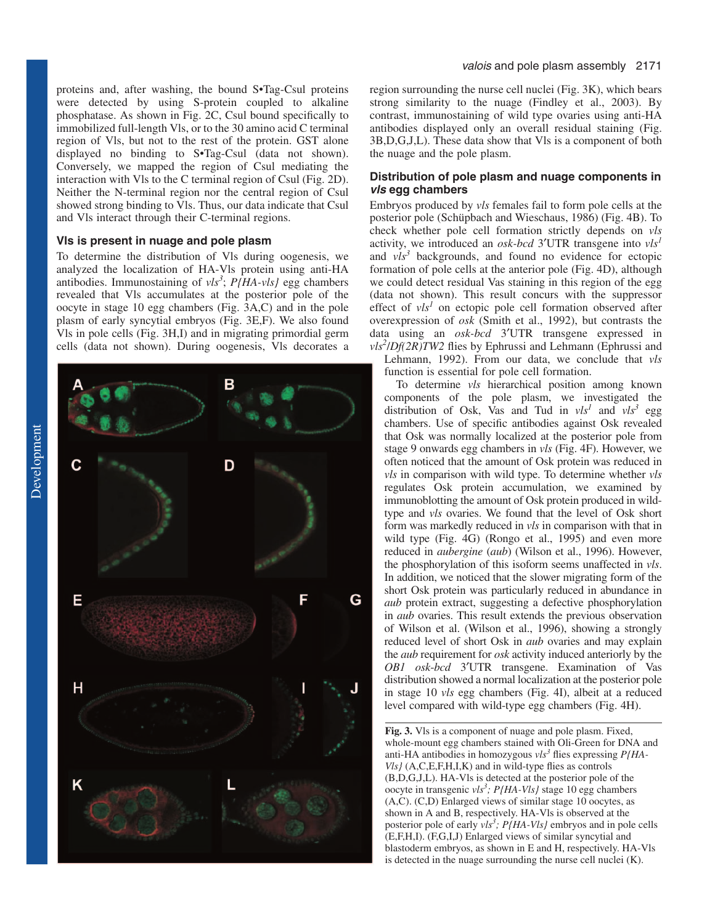proteins and, after washing, the bound S•Tag-Csul proteins were detected by using S-protein coupled to alkaline phosphatase. As shown in Fig. 2C, Csul bound specifically to immobilized full-length Vls, or to the 30 amino acid C terminal region of Vls, but not to the rest of the protein. GST alone displayed no binding to S•Tag-Csul (data not shown). Conversely, we mapped the region of Csul mediating the interaction with Vls to the C terminal region of Csul (Fig. 2D). Neither the N-terminal region nor the central region of Csul showed strong binding to Vls. Thus, our data indicate that Csul and Vls interact through their C-terminal regions.

# **Vls is present in nuage and pole plasm**

To determine the distribution of Vls during oogenesis, we analyzed the localization of HA-Vls protein using anti-HA antibodies. Immunostaining of *vls3* ; *P{HA-vls}* egg chambers revealed that Vls accumulates at the posterior pole of the oocyte in stage 10 egg chambers (Fig. 3A,C) and in the pole plasm of early syncytial embryos (Fig. 3E,F). We also found Vls in pole cells (Fig. 3H,I) and in migrating primordial germ cells (data not shown). During oogenesis, Vls decorates a



region surrounding the nurse cell nuclei (Fig. 3K), which bears strong similarity to the nuage (Findley et al., 2003). By contrast, immunostaining of wild type ovaries using anti-HA antibodies displayed only an overall residual staining (Fig. 3B,D,G,J,L). These data show that Vls is a component of both the nuage and the pole plasm.

## **Distribution of pole plasm and nuage components in vls egg chambers**

Embryos produced by *vls* females fail to form pole cells at the posterior pole (Schüpbach and Wieschaus, 1986) (Fig. 4B). To check whether pole cell formation strictly depends on *vls* activity, we introduced an *osk-bcd* 3′UTR transgene into *vls<sup>1</sup>* and  $v/s^3$  backgrounds, and found no evidence for ectopic formation of pole cells at the anterior pole (Fig. 4D), although we could detect residual Vas staining in this region of the egg (data not shown). This result concurs with the suppressor effect of  $vls<sup>1</sup>$  on ectopic pole cell formation observed after overexpression of *osk* (Smith et al., 1992), but contrasts the data using an *osk-bcd* 3′UTR transgene expressed in *vls2* /*Df(2R)TW2* flies by Ephrussi and Lehmann (Ephrussi and

Lehmann, 1992). From our data, we conclude that *vls* function is essential for pole cell formation.

To determine *vls* hierarchical position among known components of the pole plasm, we investigated the distribution of Osk, Vas and Tud in  $vls<sup>1</sup>$  and  $vls<sup>3</sup>$  egg chambers. Use of specific antibodies against Osk revealed that Osk was normally localized at the posterior pole from stage 9 onwards egg chambers in *vls* (Fig. 4F). However, we often noticed that the amount of Osk protein was reduced in *vls* in comparison with wild type. To determine whether *vls* regulates Osk protein accumulation, we examined by immunoblotting the amount of Osk protein produced in wildtype and *vls* ovaries. We found that the level of Osk short form was markedly reduced in *vls* in comparison with that in wild type (Fig. 4G) (Rongo et al., 1995) and even more reduced in *aubergine* (*aub*) (Wilson et al., 1996). However, the phosphorylation of this isoform seems unaffected in *vls*. In addition, we noticed that the slower migrating form of the short Osk protein was particularly reduced in abundance in *aub* protein extract, suggesting a defective phosphorylation in *aub* ovaries. This result extends the previous observation of Wilson et al. (Wilson et al., 1996), showing a strongly reduced level of short Osk in *aub* ovaries and may explain the *aub* requirement for *osk* activity induced anteriorly by the *OB1 osk*-*bcd* 3′UTR transgene. Examination of Vas distribution showed a normal localization at the posterior pole in stage 10 *vls* egg chambers (Fig. 4I), albeit at a reduced level compared with wild-type egg chambers (Fig. 4H).

**Fig. 3.** Vls is a component of nuage and pole plasm. Fixed, whole-mount egg chambers stained with Oli-Green for DNA and anti-HA antibodies in homozygous *vls3* flies expressing *P{HA-Vls}* (A,C,E,F,H,I,K) and in wild-type flies as controls (B,D,G,J,L). HA-Vls is detected at the posterior pole of the oocyte in transgenic *vls<sup>3</sup> ; P{HA-Vls}* stage 10 egg chambers (A,C). (C,D) Enlarged views of similar stage 10 oocytes, as shown in A and B, respectively. HA-Vls is observed at the posterior pole of early *vls<sup>3</sup> ; P{HA-Vls}* embryos and in pole cells (E,F,H,I). (F,G,I,J) Enlarged views of similar syncytial and blastoderm embryos, as shown in E and H, respectively. HA-Vls is detected in the nuage surrounding the nurse cell nuclei (K).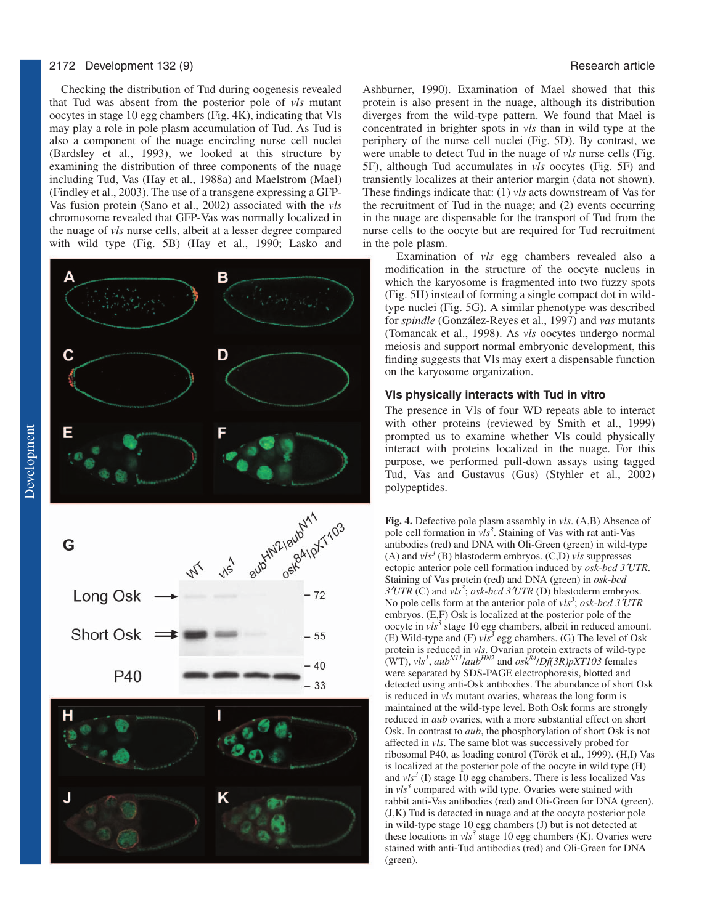Checking the distribution of Tud during oogenesis revealed that Tud was absent from the posterior pole of *vls* mutant oocytes in stage 10 egg chambers (Fig. 4K), indicating that Vls may play a role in pole plasm accumulation of Tud. As Tud is also a component of the nuage encircling nurse cell nuclei (Bardsley et al., 1993), we looked at this structure by examining the distribution of three components of the nuage including Tud, Vas (Hay et al., 1988a) and Maelstrom (Mael) (Findley et al., 2003). The use of a transgene expressing a GFP-Vas fusion protein (Sano et al., 2002) associated with the *vls* chromosome revealed that GFP-Vas was normally localized in the nuage of *vls* nurse cells, albeit at a lesser degree compared with wild type (Fig. 5B) (Hay et al., 1990; Lasko and



Ashburner, 1990). Examination of Mael showed that this protein is also present in the nuage, although its distribution diverges from the wild-type pattern. We found that Mael is concentrated in brighter spots in *vls* than in wild type at the periphery of the nurse cell nuclei (Fig. 5D). By contrast, we were unable to detect Tud in the nuage of *vls* nurse cells (Fig. 5F), although Tud accumulates in *vls* oocytes (Fig. 5F) and transiently localizes at their anterior margin (data not shown). These findings indicate that: (1) *vls* acts downstream of Vas for the recruitment of Tud in the nuage; and (2) events occurring in the nuage are dispensable for the transport of Tud from the nurse cells to the oocyte but are required for Tud recruitment in the pole plasm.

Examination of *vls* egg chambers revealed also a modification in the structure of the oocyte nucleus in which the karyosome is fragmented into two fuzzy spots (Fig. 5H) instead of forming a single compact dot in wildtype nuclei (Fig. 5G). A similar phenotype was described for *spindle* (González-Reyes et al., 1997) and *vas* mutants (Tomancak et al., 1998). As *vls* oocytes undergo normal meiosis and support normal embryonic development, this finding suggests that Vls may exert a dispensable function on the karyosome organization.

### **Vls physically interacts with Tud in vitro**

The presence in Vls of four WD repeats able to interact with other proteins (reviewed by Smith et al., 1999) prompted us to examine whether Vls could physically interact with proteins localized in the nuage. For this purpose, we performed pull-down assays using tagged Tud, Vas and Gustavus (Gus) (Styhler et al., 2002) polypeptides.

**Fig. 4.** Defective pole plasm assembly in *vls*. (A,B) Absence of pole cell formation in *vls3* . Staining of Vas with rat anti-Vas antibodies (red) and DNA with Oli-Green (green) in wild-type (A) and  $vls<sup>3</sup>$  (B) blastoderm embryos. (C,D)  $vls$  suppresses ectopic anterior pole cell formation induced by *osk-bcd 3*′*UTR*. Staining of Vas protein (red) and DNA (green) in *osk-bcd 3*′*UTR* (C) and *vls<sup>3</sup>* ; *osk-bcd 3*′*UTR* (D) blastoderm embryos. No pole cells form at the anterior pole of *vls<sup>3</sup>*; *osk-bcd 3<sup><i>'UTR*</sup></sub> embryos. (E,F) Osk is localized at the posterior pole of the oocyte in *vls<sup>3</sup>* stage 10 egg chambers, albeit in reduced amount. (E) Wild-type and  $(F)$   $vls^3$  egg chambers. (G) The level of Osk protein is reduced in *vls*. Ovarian protein extracts of wild-type  $(WT)$ ,  $vls<sup>1</sup>$ ,  $aub<sup>N11</sup>/aub<sup>HN2</sup>$  and  $osk<sup>84</sup>/Df(3R)pXT103$  females were separated by SDS-PAGE electrophoresis, blotted and detected using anti-Osk antibodies. The abundance of short Osk is reduced in *vls* mutant ovaries, whereas the long form is maintained at the wild-type level. Both Osk forms are strongly reduced in *aub* ovaries, with a more substantial effect on short Osk. In contrast to *aub*, the phosphorylation of short Osk is not affected in *vls*. The same blot was successively probed for ribosomal P40, as loading control (Török et al., 1999). (H,I) Vas is localized at the posterior pole of the oocyte in wild type (H) and  $vls<sup>3</sup>$  (I) stage 10 egg chambers. There is less localized Vas in  $vls<sup>3</sup>$  compared with wild type. Ovaries were stained with rabbit anti-Vas antibodies (red) and Oli-Green for DNA (green). (J,K) Tud is detected in nuage and at the oocyte posterior pole in wild-type stage 10 egg chambers (J) but is not detected at these locations in  $vls^3$  stage 10 egg chambers (K). Ovaries were stained with anti-Tud antibodies (red) and Oli-Green for DNA (green).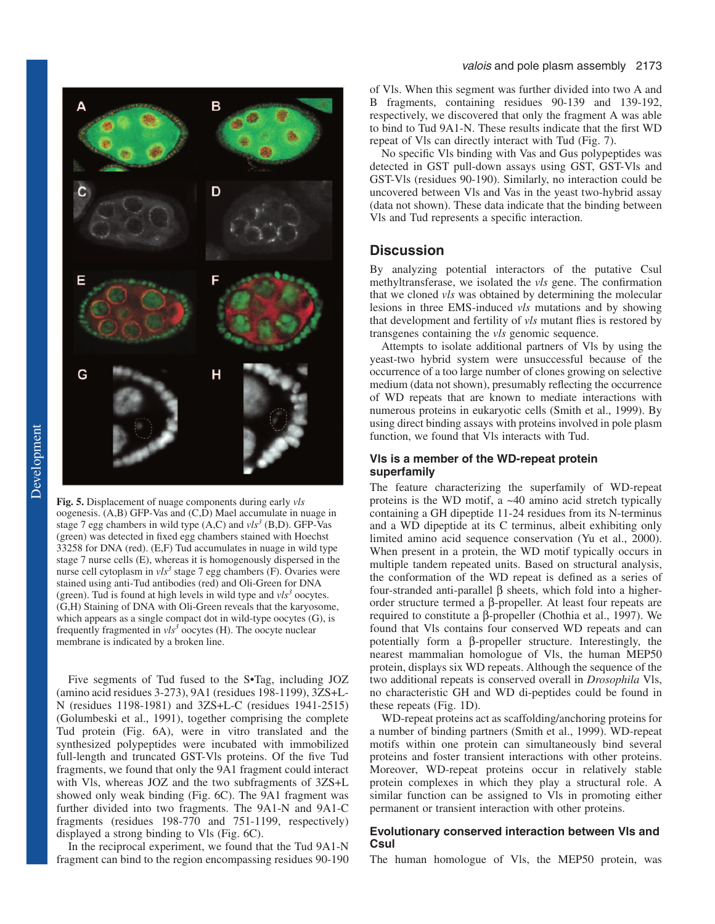

**Fig. 5.** Displacement of nuage components during early *vls* oogenesis. (A,B) GFP-Vas and (C,D) Mael accumulate in nuage in stage 7 egg chambers in wild type  $(A, C)$  and  $vls<sup>3</sup>$  (B,D). GFP-Vas (green) was detected in fixed egg chambers stained with Hoechst 33258 for DNA (red). (E,F) Tud accumulates in nuage in wild type stage 7 nurse cells (E), whereas it is homogenously dispersed in the nurse cell cytoplasm in *vls3* stage 7 egg chambers (F). Ovaries were stained using anti-Tud antibodies (red) and Oli-Green for DNA (green). Tud is found at high levels in wild type and *vls<sup>3</sup>* oocytes. (G,H) Staining of DNA with Oli-Green reveals that the karyosome, which appears as a single compact dot in wild-type oocytes (G), is frequently fragmented in  $vls<sup>3</sup>$  oocytes (H). The oocyte nuclear membrane is indicated by a broken line.

Five segments of Tud fused to the S•Tag, including JOZ (amino acid residues 3-273), 9A1 (residues 198-1199), 3ZS+L-N (residues 1198-1981) and 3ZS+L-C (residues 1941-2515) (Golumbeski et al., 1991), together comprising the complete Tud protein (Fig. 6A), were in vitro translated and the synthesized polypeptides were incubated with immobilized full-length and truncated GST-Vls proteins. Of the five Tud fragments, we found that only the 9A1 fragment could interact with Vls, whereas JOZ and the two subfragments of 3ZS+L showed only weak binding (Fig. 6C). The 9A1 fragment was further divided into two fragments. The 9A1-N and 9A1-C fragments (residues 198-770 and 751-1199, respectively) displayed a strong binding to Vls (Fig. 6C).

In the reciprocal experiment, we found that the Tud 9A1-N fragment can bind to the region encompassing residues 90-190

of Vls. When this segment was further divided into two A and B fragments, containing residues 90-139 and 139-192, respectively, we discovered that only the fragment A was able to bind to Tud 9A1-N. These results indicate that the first WD repeat of Vls can directly interact with Tud (Fig. 7).

No specific Vls binding with Vas and Gus polypeptides was detected in GST pull-down assays using GST, GST-Vls and GST-Vls (residues 90-190). Similarly, no interaction could be uncovered between Vls and Vas in the yeast two-hybrid assay (data not shown). These data indicate that the binding between Vls and Tud represents a specific interaction.

# **Discussion**

By analyzing potential interactors of the putative Csul methyltransferase, we isolated the *vls* gene. The confirmation that we cloned *vls* was obtained by determining the molecular lesions in three EMS-induced *vls* mutations and by showing that development and fertility of *vls* mutant flies is restored by transgenes containing the *vls* genomic sequence.

Attempts to isolate additional partners of Vls by using the yeast-two hybrid system were unsuccessful because of the occurrence of a too large number of clones growing on selective medium (data not shown), presumably reflecting the occurrence of WD repeats that are known to mediate interactions with numerous proteins in eukaryotic cells (Smith et al., 1999). By using direct binding assays with proteins involved in pole plasm function, we found that Vls interacts with Tud.

# **Vls is a member of the WD-repeat protein superfamily**

The feature characterizing the superfamily of WD-repeat proteins is the WD motif, a ~40 amino acid stretch typically containing a GH dipeptide 11-24 residues from its N-terminus and a WD dipeptide at its C terminus, albeit exhibiting only limited amino acid sequence conservation (Yu et al., 2000). When present in a protein, the WD motif typically occurs in multiple tandem repeated units. Based on structural analysis, the conformation of the WD repeat is defined as a series of four-stranded anti-parallel β sheets, which fold into a higherorder structure termed a β-propeller. At least four repeats are required to constitute a β-propeller (Chothia et al., 1997). We found that Vls contains four conserved WD repeats and can potentially form a β-propeller structure. Interestingly, the nearest mammalian homologue of Vls, the human MEP50 protein, displays six WD repeats. Although the sequence of the two additional repeats is conserved overall in *Drosophila* Vls, no characteristic GH and WD di-peptides could be found in these repeats (Fig. 1D).

WD-repeat proteins act as scaffolding/anchoring proteins for a number of binding partners (Smith et al., 1999). WD-repeat motifs within one protein can simultaneously bind several proteins and foster transient interactions with other proteins. Moreover, WD-repeat proteins occur in relatively stable protein complexes in which they play a structural role. A similar function can be assigned to Vls in promoting either permanent or transient interaction with other proteins.

## **Evolutionary conserved interaction between Vls and Csul**

The human homologue of Vls, the MEP50 protein, was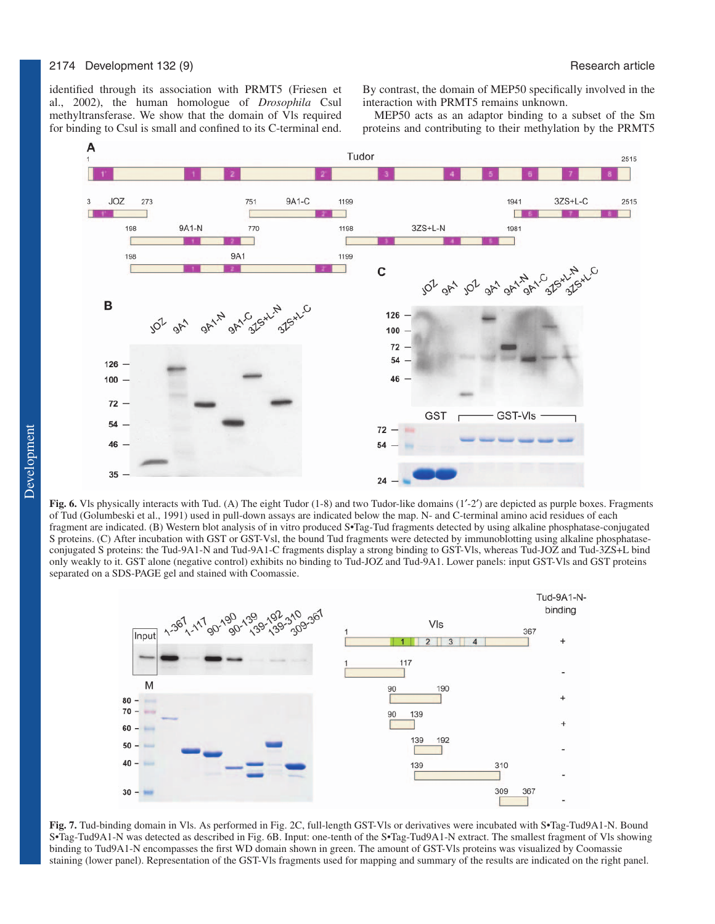identified through its association with PRMT5 (Friesen et al., 2002), the human homologue of *Drosophila* Csul methyltransferase. We show that the domain of Vls required for binding to Csul is small and confined to its C-terminal end. By contrast, the domain of MEP50 specifically involved in the interaction with PRMT5 remains unknown.

MEP50 acts as an adaptor binding to a subset of the Sm proteins and contributing to their methylation by the PRMT5



**Fig. 6.** Vls physically interacts with Tud. (A) The eight Tudor (1-8) and two Tudor-like domains (1′-2′) are depicted as purple boxes. Fragments of Tud (Golumbeski et al., 1991) used in pull-down assays are indicated below the map. N- and C-terminal amino acid residues of each fragment are indicated. (B) Western blot analysis of in vitro produced S•Tag-Tud fragments detected by using alkaline phosphatase-conjugated S proteins. (C) After incubation with GST or GST-Vsl, the bound Tud fragments were detected by immunoblotting using alkaline phosphataseconjugated S proteins: the Tud-9A1-N and Tud-9A1-C fragments display a strong binding to GST-Vls, whereas Tud-JOZ and Tud-3ZS+L bind only weakly to it. GST alone (negative control) exhibits no binding to Tud-JOZ and Tud-9A1. Lower panels: input GST-Vls and GST proteins separated on a SDS-PAGE gel and stained with Coomassie.



**Fig. 7.** Tud-binding domain in Vls. As performed in Fig. 2C, full-length GST-Vls or derivatives were incubated with S•Tag-Tud9A1-N. Bound S•Tag-Tud9A1-N was detected as described in Fig. 6B. Input: one-tenth of the S•Tag-Tud9A1-N extract. The smallest fragment of Vls showing binding to Tud9A1-N encompasses the first WD domain shown in green. The amount of GST-Vls proteins was visualized by Coomassie staining (lower panel). Representation of the GST-Vls fragments used for mapping and summary of the results are indicated on the right panel.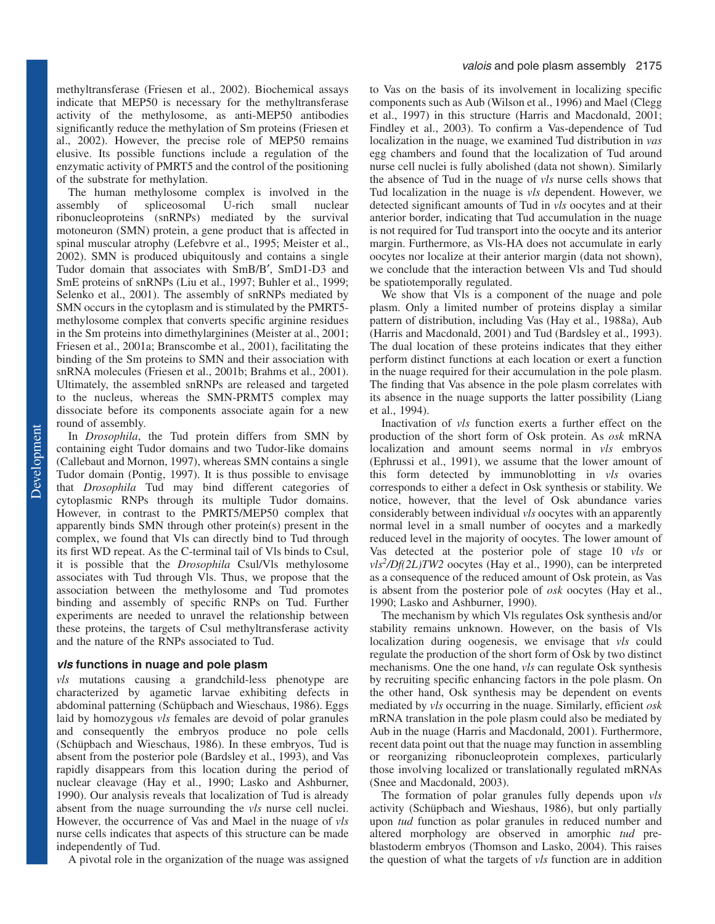methyltransferase (Friesen et al., 2002). Biochemical assays indicate that MEP50 is necessary for the methyltransferase activity of the methylosome, as anti-MEP50 antibodies significantly reduce the methylation of Sm proteins (Friesen et al., 2002). However, the precise role of MEP50 remains elusive. Its possible functions include a regulation of the enzymatic activity of PMRT5 and the control of the positioning of the substrate for methylation.

The human methylosome complex is involved in the sembly of spliceosomal U-rich small nuclear assembly of spliceosomal U-rich small nuclear ribonucleoproteins (snRNPs) mediated by the survival motoneuron (SMN) protein, a gene product that is affected in spinal muscular atrophy (Lefebvre et al., 1995; Meister et al., 2002). SMN is produced ubiquitously and contains a single Tudor domain that associates with SmB/B′, SmD1-D3 and SmE proteins of snRNPs (Liu et al., 1997; Buhler et al., 1999; Selenko et al., 2001). The assembly of snRNPs mediated by SMN occurs in the cytoplasm and is stimulated by the PMRT5 methylosome complex that converts specific arginine residues in the Sm proteins into dimethylarginines (Meister at al., 2001; Friesen et al., 2001a; Branscombe et al., 2001), facilitating the binding of the Sm proteins to SMN and their association with snRNA molecules (Friesen et al., 2001b; Brahms et al., 2001). Ultimately, the assembled snRNPs are released and targeted to the nucleus, whereas the SMN-PRMT5 complex may dissociate before its components associate again for a new round of assembly.

In *Drosophila*, the Tud protein differs from SMN by containing eight Tudor domains and two Tudor-like domains (Callebaut and Mornon, 1997), whereas SMN contains a single Tudor domain (Pontig, 1997). It is thus possible to envisage that *Drosophila* Tud may bind different categories of cytoplasmic RNPs through its multiple Tudor domains. However, in contrast to the PMRT5/MEP50 complex that apparently binds SMN through other protein(s) present in the complex, we found that Vls can directly bind to Tud through its first WD repeat. As the C-terminal tail of Vls binds to Csul, it is possible that the *Drosophila* Csul/Vls methylosome associates with Tud through Vls. Thus, we propose that the association between the methylosome and Tud promotes binding and assembly of specific RNPs on Tud. Further experiments are needed to unravel the relationship between these proteins, the targets of Csul methyltransferase activity and the nature of the RNPs associated to Tud.

#### *vls functions in nuage and pole plasm*

*vls* mutations causing a grandchild-less phenotype are characterized by agametic larvae exhibiting defects in abdominal patterning (Schüpbach and Wieschaus, 1986). Eggs laid by homozygous *vls* females are devoid of polar granules and consequently the embryos produce no pole cells (Schüpbach and Wieschaus, 1986). In these embryos, Tud is absent from the posterior pole (Bardsley et al., 1993), and Vas rapidly disappears from this location during the period of nuclear cleavage (Hay et al., 1990; Lasko and Ashburner, 1990). Our analysis reveals that localization of Tud is already absent from the nuage surrounding the *vls* nurse cell nuclei. However, the occurrence of Vas and Mael in the nuage of *vls* nurse cells indicates that aspects of this structure can be made independently of Tud.

A pivotal role in the organization of the nuage was assigned

to Vas on the basis of its involvement in localizing specific components such as Aub (Wilson et al., 1996) and Mael (Clegg et al., 1997) in this structure (Harris and Macdonald, 2001; Findley et al., 2003). To confirm a Vas-dependence of Tud localization in the nuage, we examined Tud distribution in *vas* egg chambers and found that the localization of Tud around nurse cell nuclei is fully abolished (data not shown). Similarly the absence of Tud in the nuage of *vls* nurse cells shows that Tud localization in the nuage is *vls* dependent. However, we detected significant amounts of Tud in *vls* oocytes and at their anterior border, indicating that Tud accumulation in the nuage is not required for Tud transport into the oocyte and its anterior margin. Furthermore, as Vls-HA does not accumulate in early oocytes nor localize at their anterior margin (data not shown), we conclude that the interaction between Vls and Tud should be spatiotemporally regulated.

We show that Vls is a component of the nuage and pole plasm. Only a limited number of proteins display a similar pattern of distribution, including Vas (Hay et al., 1988a), Aub (Harris and Macdonald, 2001) and Tud (Bardsley et al., 1993). The dual location of these proteins indicates that they either perform distinct functions at each location or exert a function in the nuage required for their accumulation in the pole plasm. The finding that Vas absence in the pole plasm correlates with its absence in the nuage supports the latter possibility (Liang et al., 1994).

Inactivation of *vls* function exerts a further effect on the production of the short form of Osk protein. As *osk* mRNA localization and amount seems normal in *vls* embryos (Ephrussi et al., 1991), we assume that the lower amount of this form detected by immunoblotting in *vls* ovaries corresponds to either a defect in Osk synthesis or stability. We notice, however, that the level of Osk abundance varies considerably between individual *vls* oocytes with an apparently normal level in a small number of oocytes and a markedly reduced level in the majority of oocytes. The lower amount of Vas detected at the posterior pole of stage 10 *vls* or *vls<sup>2</sup> /Df(2L)TW2* oocytes (Hay et al., 1990), can be interpreted as a consequence of the reduced amount of Osk protein, as Vas is absent from the posterior pole of *osk* oocytes (Hay et al., 1990; Lasko and Ashburner, 1990).

The mechanism by which Vls regulates Osk synthesis and/or stability remains unknown. However, on the basis of Vls localization during oogenesis, we envisage that *vls* could regulate the production of the short form of Osk by two distinct mechanisms. One the one hand, *vls* can regulate Osk synthesis by recruiting specific enhancing factors in the pole plasm. On the other hand, Osk synthesis may be dependent on events mediated by *vls* occurring in the nuage. Similarly, efficient *osk* mRNA translation in the pole plasm could also be mediated by Aub in the nuage (Harris and Macdonald, 2001). Furthermore, recent data point out that the nuage may function in assembling or reorganizing ribonucleoprotein complexes, particularly those involving localized or translationally regulated mRNAs (Snee and Macdonald, 2003).

The formation of polar granules fully depends upon *vls* activity (Schüpbach and Wieshaus, 1986), but only partially upon *tud* function as polar granules in reduced number and altered morphology are observed in amorphic *tud* preblastoderm embryos (Thomson and Lasko, 2004). This raises the question of what the targets of *vls* function are in addition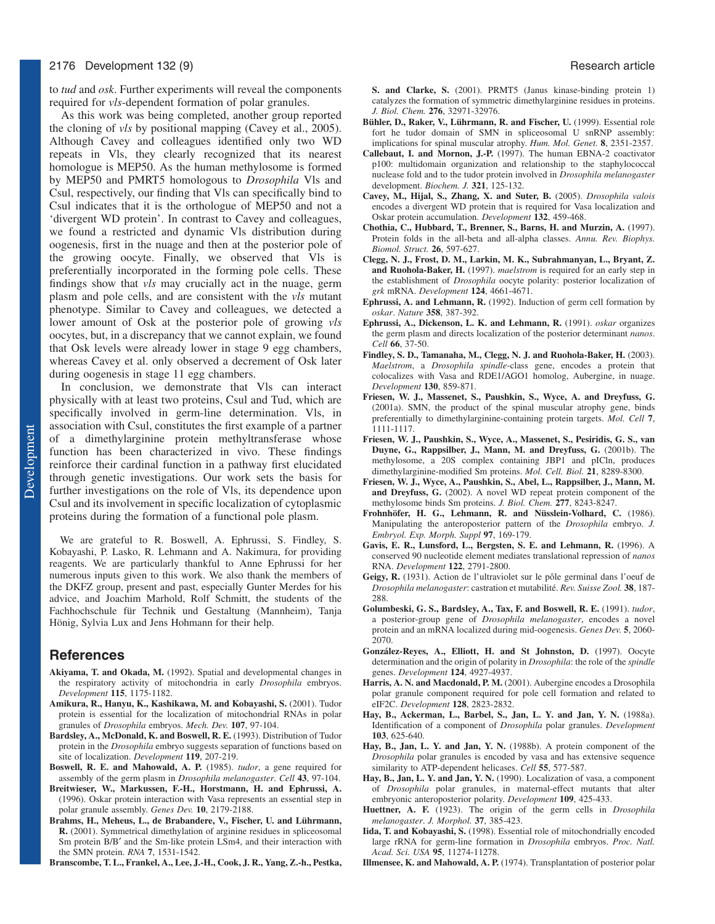to *tud* and *osk*. Further experiments will reveal the components required for *vls*-dependent formation of polar granules.

As this work was being completed, another group reported the cloning of *vls* by positional mapping (Cavey et al., 2005). Although Cavey and colleagues identified only two WD repeats in Vls, they clearly recognized that its nearest homologue is MEP50. As the human methylosome is formed by MEP50 and PMRT5 homologous to *Drosophila* Vls and Csul, respectively, our finding that Vls can specifically bind to Csul indicates that it is the orthologue of MEP50 and not a 'divergent WD protein'. In contrast to Cavey and colleagues, we found a restricted and dynamic Vls distribution during oogenesis, first in the nuage and then at the posterior pole of the growing oocyte. Finally, we observed that Vls is preferentially incorporated in the forming pole cells. These findings show that *vls* may crucially act in the nuage, germ plasm and pole cells, and are consistent with the *vls* mutant phenotype. Similar to Cavey and colleagues, we detected a lower amount of Osk at the posterior pole of growing *vls* oocytes, but, in a discrepancy that we cannot explain, we found that Osk levels were already lower in stage 9 egg chambers, whereas Cavey et al. only observed a decrement of Osk later during oogenesis in stage 11 egg chambers.

In conclusion, we demonstrate that Vls can interact physically with at least two proteins, Csul and Tud, which are specifically involved in germ-line determination. Vls, in association with Csul, constitutes the first example of a partner of a dimethylarginine protein methyltransferase whose function has been characterized in vivo. These findings reinforce their cardinal function in a pathway first elucidated through genetic investigations. Our work sets the basis for further investigations on the role of Vls, its dependence upon Csul and its involvement in specific localization of cytoplasmic proteins during the formation of a functional pole plasm.

We are grateful to R. Boswell, A. Ephrussi, S. Findley, S. Kobayashi, P. Lasko, R. Lehmann and A. Nakimura, for providing reagents. We are particularly thankful to Anne Ephrussi for her numerous inputs given to this work. We also thank the members of the DKFZ group, present and past, especially Gunter Merdes for his advice, and Joachim Marhold, Rolf Schmitt, the students of the Fachhochschule für Technik und Gestaltung (Mannheim), Tanja Hönig, Sylvia Lux and Jens Hohmann for their help.

# **References**

- **Akiyama, T. and Okada, M.** (1992). Spatial and developmental changes in the respiratory activity of mitochondria in early *Drosophila* embryos. *Development* **115**, 1175-1182.
- **Amikura, R., Hanyu, K., Kashikawa, M. and Kobayashi, S.** (2001). Tudor protein is essential for the localization of mitochondrial RNAs in polar granules of *Drosophila* embryos. *Mech. Dev.* **107**, 97-104.
- **Bardsley, A., McDonald, K. and Boswell, R. E.** (1993). Distribution of Tudor protein in the *Drosophila* embryo suggests separation of functions based on site of localization. *Development* **119**, 207-219.
- **Boswell, R. E. and Mahowald, A. P.** (1985). *tudor*, a gene required for assembly of the germ plasm in *Drosophila melanogaster*. *Cell* **43**, 97-104.
- **Breitwieser, W., Markussen, F.-H., Horstmann, H. and Ephrussi, A.** (1996). Oskar protein interaction with Vasa represents an essential step in polar granule assembly. *Genes Dev.* **10**, 2179-2188.
- **Brahms, H., Meheus, L., de Brabandere, V., Fischer, U. and Lührmann, R.** (2001). Symmetrical dimethylation of arginine residues in spliceosomal Sm protein B/B′ and the Sm-like protein LSm4, and their interaction with the SMN protein. *RNA* **7**, 1531-1542.

**Branscombe, T. L., Frankel, A., Lee, J.-H., Cook, J. R., Yang, Z.-h., Pestka,**

**S. and Clarke, S.** (2001). PRMT5 (Janus kinase-binding protein 1) catalyzes the formation of symmetric dimethylarginine residues in proteins. *J. Biol. Chem.* **276**, 32971-32976.

- Bühler, D., Raker, V., Lührmann, R. and Fischer, U. (1999). Essential role fort he tudor domain of SMN in spliceosomal U snRNP assembly: implications for spinal muscular atrophy. *Hum. Mol. Genet.* **8**, 2351-2357.
- **Callebaut, I. and Mornon, J.-P.** (1997). The human EBNA-2 coactivator p100: multidomain organization and relationship to the staphylococcal nuclease fold and to the tudor protein involved in *Drosophila melanogaster* development. *Biochem. J.* **321**, 125-132.
- **Cavey, M., Hijal, S., Zhang, X. and Suter, B.** (2005). *Drosophila valois* encodes a divergent WD protein that is required for Vasa localization and Oskar protein accumulation. *Development* **132**, 459-468.
- **Chothia, C., Hubbard, T., Brenner, S., Barns, H. and Murzin, A.** (1997). Protein folds in the all-beta and all-alpha classes. *Annu. Rev. Biophys. Biomol. Struct.* **26**, 597-627.
- **Clegg, N. J., Frost, D. M., Larkin, M. K., Subrahmanyan, L., Bryant, Z. and Ruohola-Baker, H.** (1997). *maelstrom* is required for an early step in the establishment of *Drosophila* oocyte polarity: posterior localization of *grk* mRNA. *Development* **124**, 4661-4671.
- **Ephrussi, A. and Lehmann, R.** (1992). Induction of germ cell formation by *oskar*. *Nature* **358**, 387-392.
- **Ephrussi, A., Dickenson, L. K. and Lehmann, R.** (1991). *oskar* organizes the germ plasm and directs localization of the posterior determinant *nanos*. *Cell* **66**, 37-50.
- Findley, S. D., Tamanaha, M., Clegg, N. J. and Ruohola-Baker, H. (2003). *Maelstrom*, a *Drosophila spindle*-class gene, encodes a protein that colocalizes with Vasa and RDE1/AGO1 homolog, Aubergine, in nuage. *Development* **130**, 859-871.
- **Friesen, W. J., Massenet, S., Paushkin, S., Wyce, A. and Dreyfuss, G.** (2001a). SMN, the product of the spinal muscular atrophy gene, binds preferentially to dimethylarginine-containing protein targets. *Mol. Cell* **7**, 1111-1117.
- **Friesen, W. J., Paushkin, S., Wyce, A., Massenet, S., Pesiridis, G. S., van Duyne, G., Rappsilber, J., Mann, M. and Dreyfuss, G.** (2001b). The methylosome, a 20S complex containing JBP1 and pICln, produces dimethylarginine-modified Sm proteins. *Mol. Cell. Biol.* **21**, 8289-8300.
- **Friesen, W. J., Wyce, A., Paushkin, S., Abel, L., Rappsilber, J., Mann, M.** and Dreyfuss, G. (2002). A novel WD repeat protein component of the methylosome binds Sm proteins. *J. Biol. Chem.* **277**, 8243-8247.
- **Frohnhöfer, H. G., Lehmann, R. and Nüsslein-Volhard, C.** (1986). Manipulating the anteroposterior pattern of the *Drosophila* embryo. *J. Embryol. Exp. Morph. Suppl* **97**, 169-179.
- **Gavis, E. R., Lunsford, L., Bergsten, S. E. and Lehmann, R.** (1996). A conserved 90 nucleotide element mediates translational repression of *nanos* RNA. *Development* **122**, 2791-2800.
- **Geigy, R.** (1931). Action de l'ultraviolet sur le pôle germinal dans l'oeuf de *Drosophila melanogaster*: castration et mutabilité. *Rev. Suisse Zool.* **38**, 187- 288.
- **Golumbeski, G. S., Bardsley, A., Tax, F. and Boswell, R. E.** (1991). *tudor*, a posterior-group gene of *Drosophila melanogaster*, encodes a novel protein and an mRNA localized during mid-oogenesis. *Genes Dev.* **5**, 2060- 2070.
- **González-Reyes, A., Elliott, H. and St Johnston, D.** (1997). Oocyte determination and the origin of polarity in *Drosophila*: the role of the *spindle* genes. *Development* **124**, 4927-4937.
- **Harris, A. N. and Macdonald, P. M.** (2001). Aubergine encodes a Drosophila polar granule component required for pole cell formation and related to eIF2C. *Development* **128**, 2823-2832.
- **Hay, B., Ackerman, L., Barbel, S., Jan, L. Y. and Jan, Y. N.** (1988a). Identification of a component of *Drosophila* polar granules. *Development* **103**, 625-640.
- **Hay, B., Jan, L. Y. and Jan, Y. N.** (1988b). A protein component of the *Drosophila* polar granules is encoded by vasa and has extensive sequence similarity to ATP-dependent helicases. *Cell* **55**, 577-587.
- **Hay, B., Jan, L. Y. and Jan, Y. N.** (1990). Localization of vasa, a component of *Drosophila* polar granules, in maternal-effect mutants that alter embryonic anteroposterior polarity. *Development* **109**, 425-433.
- **Huettner, A. F.** (1923). The origin of the germ cells in *Drosophila melanogaster*. *J. Morphol.* **37**, 385-423.
- **Iida, T. and Kobayashi, S.** (1998). Essential role of mitochondrially encoded large rRNA for germ-line formation in *Drosophila* embryos. *Proc. Natl. Acad. Sci. USA* **95**, 11274-11278.
- **Illmensee, K. and Mahowald, A. P.** (1974). Transplantation of posterior polar